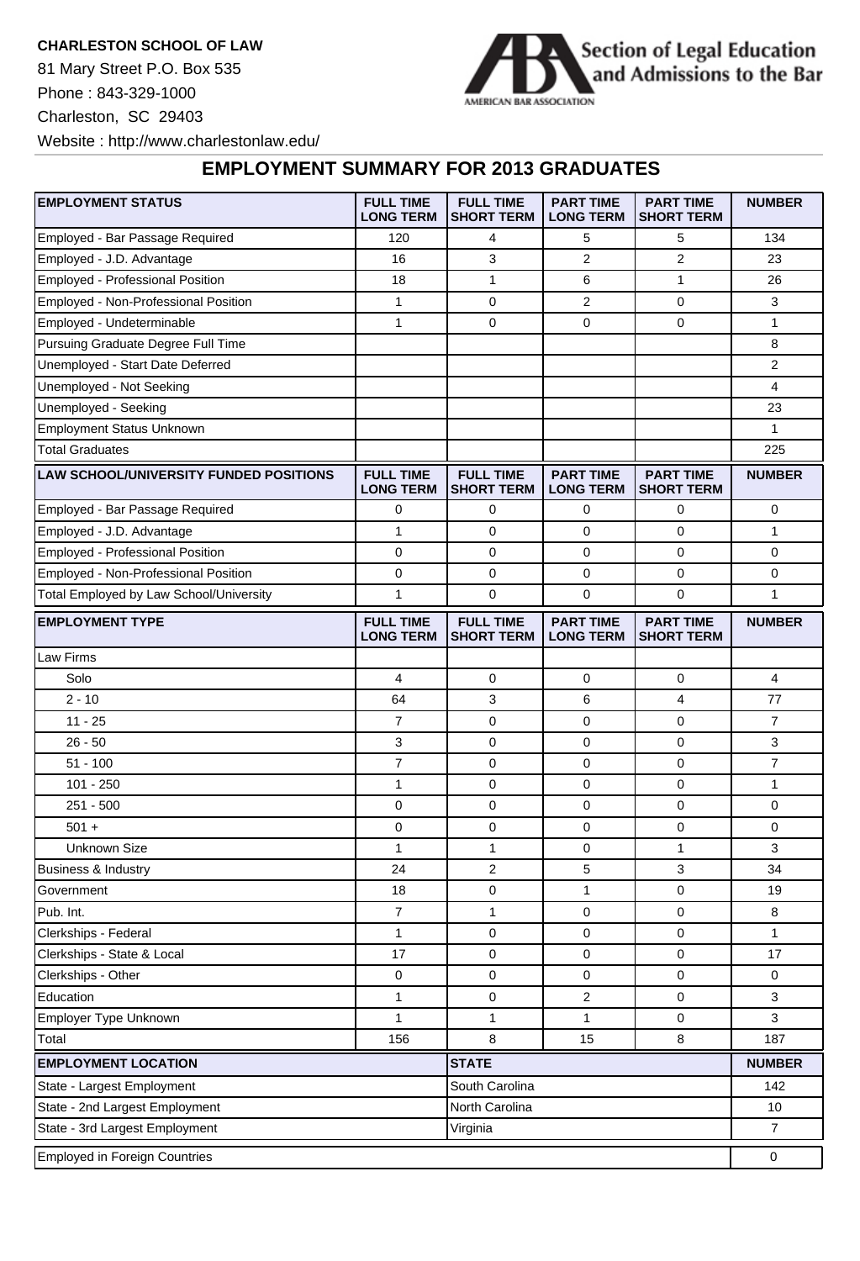**CHARLESTON SCHOOL OF LAW**

81 Mary Street P.O. Box 535 Phone : 843-329-1000 Charleston, SC 29403 Website : http://www.charlestonlaw.edu/



## **EMPLOYMENT SUMMARY FOR 2013 GRADUATES**

| <b>EMPLOYMENT STATUS</b>                         | <b>FULL TIME</b><br><b>LONG TERM</b> | <b>FULL TIME</b><br><b>SHORT TERM</b> | <b>PART TIME</b><br><b>LONG TERM</b> | <b>PART TIME</b><br><b>SHORT TERM</b> | <b>NUMBER</b>  |
|--------------------------------------------------|--------------------------------------|---------------------------------------|--------------------------------------|---------------------------------------|----------------|
| Employed - Bar Passage Required                  | 120                                  | 4                                     | 5                                    | 5                                     | 134            |
| Employed - J.D. Advantage                        | 16                                   | 3                                     | 2                                    | 2                                     | 23             |
| Employed - Professional Position                 | 18                                   | $\mathbf{1}$                          | 6                                    | $\mathbf{1}$                          | 26             |
| Employed - Non-Professional Position             | $\mathbf{1}$                         | 0                                     | 2                                    | 0                                     | 3              |
| Employed - Undeterminable                        | 1                                    | 0                                     | 0                                    | 0                                     | 1              |
| Pursuing Graduate Degree Full Time               |                                      |                                       |                                      |                                       | 8              |
| Unemployed - Start Date Deferred                 |                                      |                                       |                                      |                                       | $\overline{2}$ |
| Unemployed - Not Seeking                         |                                      |                                       |                                      |                                       | 4              |
| Unemployed - Seeking                             |                                      |                                       |                                      |                                       | 23             |
| <b>Employment Status Unknown</b>                 |                                      |                                       |                                      |                                       | 1              |
| <b>Total Graduates</b>                           |                                      |                                       |                                      |                                       | 225            |
| <b>LAW SCHOOL/UNIVERSITY FUNDED POSITIONS</b>    | <b>FULL TIME</b><br><b>LONG TERM</b> | <b>FULL TIME</b><br><b>SHORT TERM</b> | <b>PART TIME</b><br><b>LONG TERM</b> | <b>PART TIME</b><br><b>SHORT TERM</b> | <b>NUMBER</b>  |
| Employed - Bar Passage Required                  | 0                                    | 0                                     | 0                                    | 0                                     | $\mathbf 0$    |
| Employed - J.D. Advantage                        | 1                                    | $\mathbf 0$                           | 0                                    | 0                                     | 1              |
| Employed - Professional Position                 | 0                                    | 0                                     | 0                                    | 0                                     | 0              |
| Employed - Non-Professional Position             | 0                                    | 0                                     | 0                                    | 0                                     | 0              |
| Total Employed by Law School/University          | 1                                    | 0                                     | $\mathbf 0$                          | 0                                     | 1              |
| <b>EMPLOYMENT TYPE</b>                           | <b>FULL TIME</b><br><b>LONG TERM</b> | <b>FULL TIME</b><br><b>SHORT TERM</b> | <b>PART TIME</b><br><b>LONG TERM</b> | <b>PART TIME</b><br><b>SHORT TERM</b> | <b>NUMBER</b>  |
| Law Firms                                        |                                      |                                       |                                      |                                       |                |
| Solo                                             | 4                                    | 0                                     | 0                                    | 0                                     | $\overline{4}$ |
| $2 - 10$                                         | 64                                   | 3                                     | 6                                    | 4                                     | 77             |
| $11 - 25$                                        | $\overline{7}$                       | $\mathbf 0$                           | 0                                    | 0                                     | $\overline{7}$ |
| $26 - 50$                                        | 3                                    | $\mathbf 0$                           | 0                                    | 0                                     | 3              |
| $51 - 100$                                       | $\overline{7}$                       | 0                                     | 0                                    | 0                                     | $\overline{7}$ |
| $101 - 250$                                      | $\mathbf{1}$                         | 0                                     | 0                                    | 0                                     | 1              |
| $251 - 500$                                      | 0                                    | 0                                     | 0                                    | 0                                     | 0              |
| $501 +$                                          | 0                                    | 0                                     | 0                                    | 0                                     | 0              |
| <b>Unknown Size</b>                              | 1                                    | 1                                     | 0                                    | 1                                     | 3              |
| Business & Industry                              | 24                                   | 2                                     | 5                                    | 3                                     | 34             |
| Government                                       | 18                                   | $\mathbf 0$                           | 1                                    | 0                                     | 19             |
| Pub. Int.                                        | $\overline{7}$                       | 1                                     | $\mathbf 0$                          | 0                                     | 8              |
| Clerkships - Federal                             | $\mathbf{1}$                         | $\mathbf 0$                           | $\mathbf 0$                          | 0                                     | 1              |
| Clerkships - State & Local                       | 17                                   | 0                                     | $\pmb{0}$                            | 0                                     | 17             |
| Clerkships - Other                               | 0                                    | 0                                     | $\mathbf 0$                          | 0                                     | 0              |
| Education                                        | $\mathbf{1}$                         | 0                                     | $\overline{2}$                       | 0                                     | 3              |
| Employer Type Unknown                            | $\mathbf{1}$                         | $\mathbf{1}$                          | 1                                    | 0                                     | 3              |
| Total                                            | 156                                  | 8                                     | 15                                   | 8                                     | 187            |
| <b>EMPLOYMENT LOCATION</b>                       |                                      | <b>STATE</b>                          |                                      |                                       | <b>NUMBER</b>  |
| State - Largest Employment                       | South Carolina                       |                                       |                                      | 142                                   |                |
| State - 2nd Largest Employment<br>North Carolina |                                      |                                       |                                      | 10                                    |                |
| State - 3rd Largest Employment<br>Virginia       |                                      |                                       |                                      |                                       | $\overline{7}$ |
| <b>Employed in Foreign Countries</b>             |                                      |                                       |                                      |                                       | 0              |